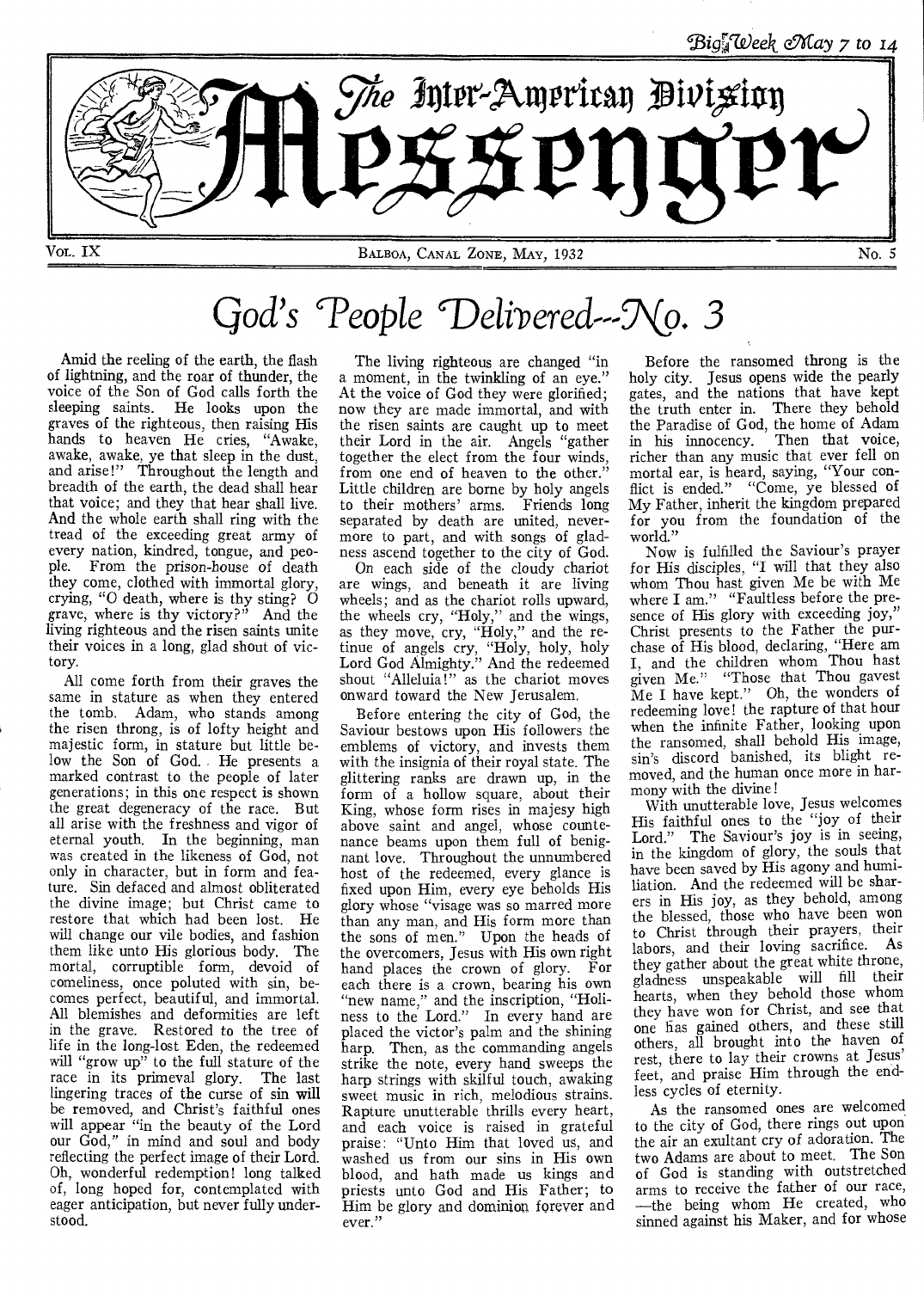

# *God's 'People*

Amid the reeling of the earth, the flash of lightning, and the roar of thunder, the voice of the Son of God calls forth the sleeping saints. He looks upon the graves of the righteous, then raising His hands to heaven He cries, "Awake, awake, awake, ye that sleep in the dust, and arise!" Throughout the length and breadth of the earth, the dead shall hear that voice; and they that hear shall live. And the whole earth shall ring with the tread of the exceeding great army of every nation, kindred, tongue, and people. From the prison-house of death they come, clothed with immortal glory, crying, "O death, where is thy sting?  $\overline{O}$ grave, where is thy victory?" And the living righteous and the risen saints unite their voices in a long, glad shout of victory.

All come forth from their graves the same in stature as when they entered the tomb. Adam, who stands among the risen throng, is of lofty height and majestic form, in stature but little below the Son of God. He presents a marked contrast to the people of later generations; in this one respect is shown the great degeneracy of the race. But all arise with the freshness and vigor of eternal youth. In the beginning, man was created in the likeness of God, not only in character, but in form and feature. Sin defaced and almost obliterated the divine image; but Christ came to restore that which had been lost. He will change our vile bodies, and fashion them like unto His glorious body. The mortal, corruptible form, devoid of comeliness, once poluted with sin, becomes perfect, beautiful, and immortal. All blemishes and deformities are left in the grave. Restored to the tree of life in the long-lost Eden, the redeemed will "grow up" to the full stature of the race in its primeval glory. The last lingering traces of the curse of sin will be removed, and Christ's faithful ones will appear "in the beauty of the Lord our God," in mind and soul and body reflecting the perfect image of their Lord. Oh, wonderful redemption! long talked of, long hoped for, contemplated with eager anticipation, but never fully understood.

The living righteous are changed "in a moment, in the twinkling of an eye." At the voice of God they were glorified; now they are made immortal, and with the risen saints are caught up to meet their Lord in the air. Angels "gather together the elect from the four winds, from one end of heaven to the other." Little children are borne by holy angels to their mothers' arms. Friends long separated by death are united, nevermore to part, and with songs of gladness ascend together to the city of God.

On each side of the cloudy chariot are wings, and beneath it are living wheels; and as the chariot rolls upward, the wheels cry, "Holy," and the wings, as they move, cry, "Holy," and the retinue of angels cry, "Holy, holy, holy Lord God Almighty." And the redeemed shout "Alleluia!" as the chariot moves onward toward the New Jerusalem.

Before entering the city of God, the Saviour bestows upon His followers the emblems of victory, and invests them with the insignia of their royal state. The glittering ranks are drawn up, in the form of a hollow square, about their King, whose form rises in majesy high above saint and angel, whose countenance beams upon them full of benignant love. Throughout the unnumbered host of the redeemed, every glance is fixed upon Him, every eye beholds His glory whose "visage was so marred more than any man, and His form more than the sons of men." Upon the heads of the overcomers, Jesus with His own right hand places the crown of glory. For each there is a crown, bearing his own "new name," and the inscription, "Holiness to the Lord." In every hand are placed the victor's palm and the shining harp. Then, as the commanding angels strike the note, every hand sweeps the harp strings with skilful touch, awaking sweet music in rich, melodious strains. Rapture unutterable thrills every heart, and each voice is raised in grateful praise: "Unto Him that loved us, and washed us from our sins in His own blood, and hath made us kings and priests unto God and His Father; to Him be glory and dominion forever and ever."

Before the ransomed throng is the holy city. Jesus opens wide the pearly gates, and the nations that have kept the truth enter in. There they behold the Paradise of God, the home of Adam in his innocency. Then that voice, richer than any music that ever fell on mortal ear, is heard, saying, "Your conflict is ended." "Come, ye blessed of My Father, inherit the kingdom prepared for you from the foundation of the world."

Now is fulfilled the Saviour's prayer for His disciples, "I will that they also whom Thou hast given Me be with Me where I am." "Faultless before the presence of His glory with exceeding joy, Christ presents to the Father the purchase of His blood, declaring, "Here am I, and the children whom Thou hast given Me." "Those that Thou gayest Me I have kept." Oh, the wonders of redeeming love! the rapture of that hour when the infinite Father, looking upon the ransomed, shall behold His image, sin's discord banished, its blight removed, and the human once more in harmony with the divine!

With unutterable love, Jesus welcomes His faithful ones to the "joy of their Lord." The Saviour's joy is in seeing, in the kingdom of glory, the souls that have been saved by His agony and humiliation. And the redeemed will be sharers in His joy, as they behold, among the blessed, those who have been won to Christ through their prayers, their labors, and their loving sacrifice. As they gather about the great white throne, gladness unspeakable will fill their hearts, when they behold those whom they have won for Christ, and see that one has gained others, and these still others, all brought into the haven of rest, there to lay their crowns at Jesus' feet, and praise Him through the endless cycles of eternity.

As the ransomed ones are welcomed to the city of God, there rings out upon the air an exultant cry of adoration. The two Adams are about to meet. The Son of God is standing with outstretched arms to receive the father of our race, —the being whom He created, who sinned against his Maker, and for whose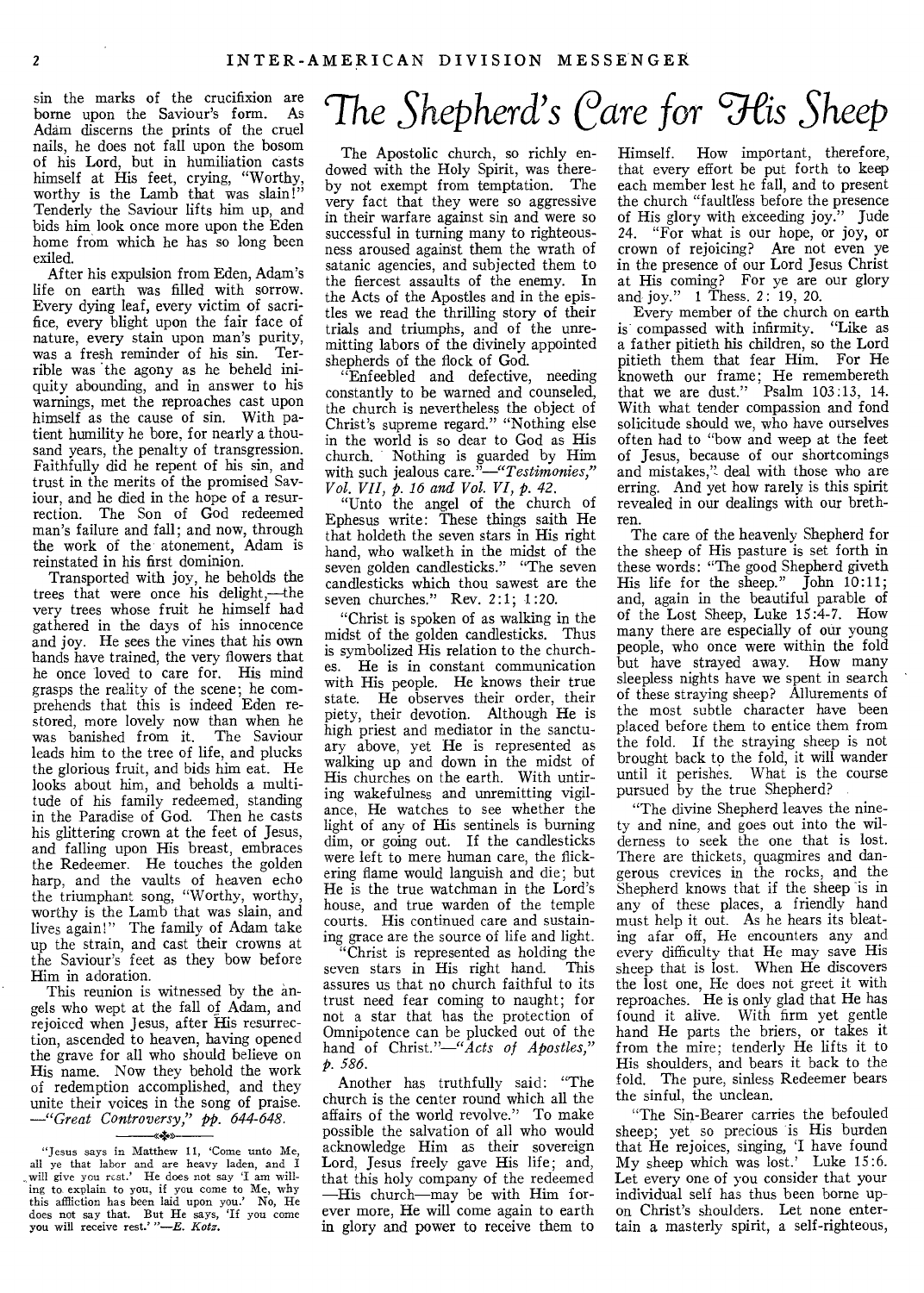borne upon the Saviour's form. As Adam discerns the prints of the cruel nails, he does not fall upon the bosom of his Lord, but in humiliation casts himself at His feet, crying, "Worthy, worthy is the Lamb that was slain!" Tenderly the Saviour lifts him up, and bids him look once more upon the Eden home from which he has so long been exiled.

After his expulsion from Eden, Adam's life on earth was filled with sorrow. Every dying leaf, every victim of sacrifice, every blight upon the fair face of nature, every stain upon man's purity, was a fresh reminder of his sin. Terrible was the agony as he beheld iniquity abounding, and in answer to his warnings, met the reproaches cast upon himself as the cause of sin. With patient humility he bore, for nearly a thousand years, the penalty of transgression. Faithfully did he repent of his sin, and trust in the merits of the promised Saviour, and he died in the hope of a resurrection. The Son of God redeemed man's failure and fall; and now, through the work of the atonement, Adam is reinstated in his first dominion.

Transported with joy, he beholds the trees that were once his delight,—the very trees whose fruit he himself had gathered in the days of his innocence and joy. He sees the vines that his own hands have trained, the very flowers that he once loved to care for. His mind grasps the reality of the scene; he comprehends that this is indeed Eden restored, more lovely now than when he was banished from it. The Saviour leads him to the tree of life, and plucks the glorious fruit, and bids him eat. He looks about him, and beholds a multitude of his family redeemed, standing in the Paradise of God. Then he casts his glittering crown at the feet of Jesus, and falling upon His breast, embraces the Redeemer. He touches the golden harp, and the vaults of heaven echo the triumphant song, "Worthy, worthy, worthy is the Lamb that was slain, and lives again!" The family of Adam take up the strain, and cast their crowns at the Saviour's feet as they bow before Him in adoration.

This reunion is witnessed by the angels who wept at the fall of Adam, and rejoiced when Jesus, after His resurrection, ascended to heaven, having opened the grave for all who should believe on His name. Now they behold the work of redemption accomplished, and they unite their voices in the song of praise. *—"Great Controversy," pp. 644-648.* 

#### *<4»*

# $\frac{1}{2}$  *Sin* the marks of the crucifixion are  $\frac{1}{2}$  The Shepherd's Care for His Sheep

The Apostolic church, so richly endowed with the Holy Spirit, was thereby not exempt from temptation. The very fact that they were so aggressive in their warfare against sin and were so successful in turning many to righteousness aroused against them the wrath of satanic agencies, and subjected them to the fiercest assaults of the enemy. In the Acts of the Apostles and in the epistles we read the thrilling story of their trials and triumphs, and of the unremitting labors of the divinely appointed shepherds of the flock of God.

"Enfeebled and defective, needing constantly to be warned and counseled, the church is nevertheless the object of Christ's supreme regard." "Nothing else in the world is so dear to God as His church. Nothing is guarded by Him with such jealous *care."—"Testimonies," Vol. VII, p. 16 and Vol. VI, p. 42.* 

"Unto the angel of the church of Ephesus write: These things saith He that holdeth the seven stars in His right hand, who walketh in the midst of the seven golden candlesticks." "The seven candlesticks which thou sawest are the seven churches." Rev. 2:1: 1:20.

"Christ is spoken of as walking in the midst of the golden candlesticks. Thus is symbolized His relation to the churches. He is in constant communication with His people. He knows their true state. He observes their order, their piety, their devotion. Although He is high priest and mediator in the sanctuary above, yet He is represented as walking up and down in the midst of His churches on the earth. With untiring wakefulness and unremitting vigilance, He watches to see whether the light of any of His sentinels is burning dim, or going out. If the candlesticks were left to mere human care, the flickering flame would languish and die; but He is the true watchman in the Lord's house, and true warden of the temple courts. His continued care and sustaining grace are the source of life and light.

"Christ is represented as holding the seven stars in His right hand. This assures us that no church faithful to its trust need fear coming to naught; for not a star that has the protection of Omnipotence can be plucked out of the hand of Christ."—"Acts *of Apostles," p. 586.* 

Another has truthfully said: "The church is the center round which all the affairs of the world revolve." To make possible the salvation of all who would acknowledge Him as their sovereign Lord, Jesus freely gave His life; and, that this holy company of the redeemed —His church—may be with Him forever more, He will come again to earth in glory and power to receive them to

Himself. How important, therefore, that every effort be put forth to keep each member lest he fall, and to present the church "faultless before the presence of His glory with exceeding joy." Jude 24. "For what is our hope, or joy, or crown of rejoicing? Are not even ye in the presence of our Lord Jesus Christ at His coming? For ye are our glory and joy." 1 Thess. 2: 19, 20.

Every member of the church on earth is compassed with infirmity. "Like as a father pitieth his children, so the Lord pitieth them that fear Him. For He knoweth our frame; He remembereth that we are dust." Psalm  $103:13$ , 14. With what tender compassion and fond solicitude should we, who have ourselves often had to "bow and weep at the feet of Jesus, because of our shortcomings and mistakes," deal with those who are erring. And yet how rarely is this spirit revealed in our dealings with our brethren.

The care of the heavenly Shepherd for the sheep of His pasture is set forth in these words: "The good Shepherd giveth His life for the sheep." John 10:11; and, again in the beautiful parable of of the Lost Sheep, Luke 15:4-7. How many there are especially of our young people, who once were within the fold but have strayed away. How many sleepless nights have we spent in search of these straying sheep? Allurements of the most subtle character have been placed before them to entice them from the fold. If the straying sheep is not brought back to the fold, it will wander until it perishes. What is the course pursued by the true Shepherd?

"The divine Shepherd leaves the ninety and nine, and goes out into the wilderness to seek the one that is lost. There are thickets, quagmires and dangerous crevices in the rocks, and the Shepherd knows that if the sheep is in any of these places, a friendly hand must help it out. As he hears its bleating afar off, He encounters any and every difficulty that He may save His sheep that is lost. When He discovers the lost one, He does not greet it with reproaches. He is only glad that He has found it alive. With firm yet gentle hand He parts the briers, or takes it from the mire; tenderly He lifts it to His shoulders, and bears it back to the fold. The pure, sinless Redeemer bears the sinful, the unclean.

"The Sin-Bearer carries the befouled sheep; yet so precious is His burden that He rejoices, singing, 'I have found My sheep which was lost.' Luke 15:6. Let every one of you consider that your individual self has thus been borne upon Christ's shoulders. Let none entertain a masterly spirit, a self-righteous,

<sup>&</sup>quot;Jesus says in Matthew 11, 'Come unto Me, all ye that labor and are heavy laden, and I will give you rest.' He does not say 'I am willing to explain to you, if you come to Me, why this affliction has been laid upon you.' No, He does not say that. But He says, 'If you come you will receive rest.' "--*E. Kotz*.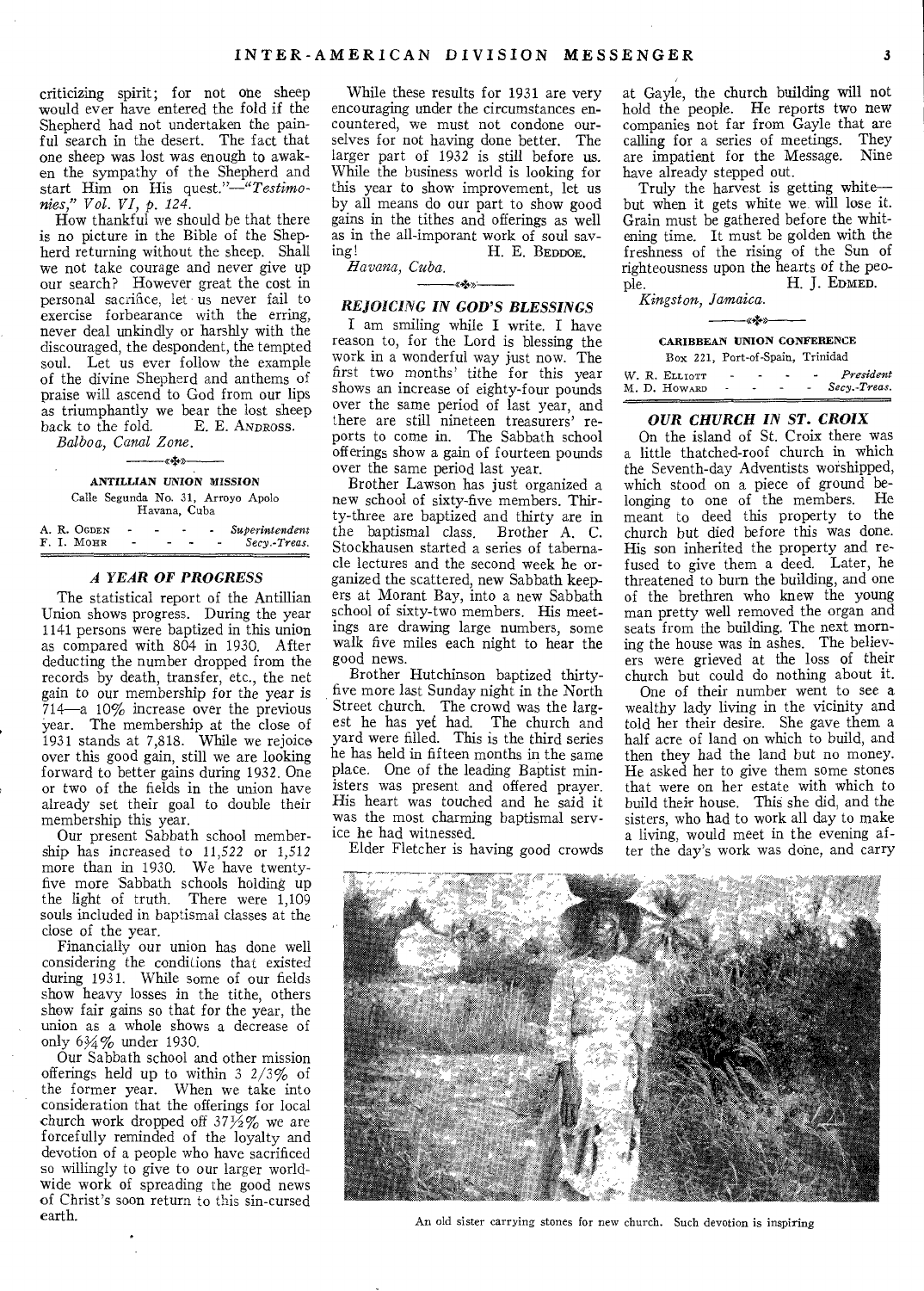criticizing spirit; for not one sheep would ever have entered the fold if the Shepherd had not undertaken the painful search in the desert. The fact that one sheep was lost was enough to awaken the sympathy of the Shepherd and start Him on His *quest."—"Testimonies," Vol. VI,* p. *124.* 

How thankful we should be that there is no picture in the Bible of the Shepherd returning without the sheep. Shall we not take courage and never give up our search? However great the cost in personal sacrifice, let us never fail to exercise forbearance with the erring, never deal unkindly or harshly with the discouraged, the despondent, the tempted soul. Let us ever follow the example of the divine Shepherd and anthems of praise will ascend to God from our lips as triumphantly we bear the lost sheep<br>back to the fold.  $E$ . E. ANDROSS. E. E. ANDROSS. *Balboa, Canal Zone.* 

—«<del>\*</del>»

# ANTILLIAN UNION MISSION

Calle Segunda No. 31, Arroyo Apolo Havana, Cuba

|  | A. R. OGDEN | - |  | Superintendent |
|--|-------------|---|--|----------------|
|  | F. I. MOHR  |   |  | Secy.-Treas.   |

#### *A YEAR OF PROGRESS*

The statistical report of the Antillian Union shows progress. During the year 1141 persons were baptized in this union as compared with 804 in 1930. After deducting the number dropped from the records by death, transfer, etc., the net gain to our membership for the year is 714—a 10% increase over the previous year. The membership at the close of 1931 stands at 7,818. While we rejoice over this good gain, still we are looking forward to better gains during 1932. One or two of the fields in the union have already set their goal to double their membership this year.

Our present Sabbath school membership has increased to 11,522 or 1,512 more than in 1930. We have twentyfive more Sabbath schools holding up the light of truth. There were 1,109 souls included in baptismal classes at the close of the year.

Financially our union has done well considering the conditions that existed during 1931. While some of our fields show heavy losses in the tithe, others show fair gains so that for the year, the union as a whole shows a decrease of only 634% under 1930.

Our Sabbath school and other mission offerings held up to within  $3 \frac{2}{3}\%$  of the former year. When we take into consideration that the offerings for local church work dropped off  $37\frac{1}{2}\%$  we are forcefully reminded of the loyalty and devotion of a people who have sacrificed so willingly to give to our larger worldwide work of spreading the good news of Christ's soon return to this sin-cursed earth.

While these results for 1931 are very encouraging under the circumstances encountered, we must not condone ourselves for not having done better. The larger part of 1932 is still before us. While the business world is looking for this year to show improvement, let us by all means do our part to show good gains in the tithes and offerings as well as in the all-imporant work of soul saving!<br>H. E. BEDDOE. H. E. BEDDOE.

*Havana, Cuba. «+-»* 

#### *REJOICING IN GOD'S BLESSINGS*

I am smiling while I write. I have reason to, for the Lord is blessing the work in a wonderful way just now. The first two months' tithe for this year shows an increase of eighty-four pounds over the same period of last year, and there are still nineteen treasurers' reports to come in. The Sabbath school offerings show a gain of fourteen pounds over the same period last year.

Brother Lawson has just organized a new school of sixty-five members. Thirty-three are baptized and thirty are in the baptismal class. Brother A. C. Stockhausen started a series of tabernacle lectures and the second week he organized the scattered, new Sabbath keepers at Morant Bay, into a new Sabbath school of sixty-two members. His meetings are drawing large numbers, some walk five miles each night to hear the good news.

Brother Hutchinson baptized thirtyfive more last Sunday night in the North Street church. The crowd was the larg-est he has yet had. The church and yard were filled. This is the third series he has held in fifteen months in the same place. One of the leading Baptist ministers was present and offered prayer. His heart was touched and he said it was the most charming baptismal service he had witnessed.

Elder Fletcher is having good crowds

at Gayle, the church building will not hold the people. He reports two new companies not far from Gayle that are calling for a series of meetings. They are impatient for the Message. Nine have already stepped out.

Truly the harvest is getting white but when it gets white we will lose it. Grain must be gathered before the whitening time. It must be golden with the freshness of the rising of the Sun of righteousness upon the hearts of the people. H. J. EDMED.

*Kingston, Jamaica.* 

#### -«\*\*» CARIBBEAN UNION CONFERENCE

|  |               |   | Box 221, Port-of-Spain, Trinidad |              |
|--|---------------|---|----------------------------------|--------------|
|  | W. R. ELLIOTT | - |                                  | President    |
|  | M.D. HOWARD   |   |                                  | Secv.-Treas. |

#### *OUR CHURCH IN ST. CROIX*

On the island of St. Croix there was a little thatched-roof church in which the Seventh-day Adventists worshipped, which stood on a piece of ground belonging to one of the members. He meant to deed this property to the church but died before this was done. His son inherited the property and refused to give them a deed. Later, he threatened to burn the building, and one of the brethren who knew the young man pretty well removed the organ and seats from the building. The next morning the house was in ashes. The believers were grieved at the loss of their church but could do nothing about it.

One of their number went to see a wealthy lady living in the vicinity and told her their desire. She gave them a half acre of land on which to build, and then they had the land but no money. He asked her to give them some stones that were on her estate with which to build their house. This she did, and the sisters, who had to work all day to make a living, would meet in the evening after the day's work was done, and carry



An old sister carrying stones for new church. Such devotion is inspiring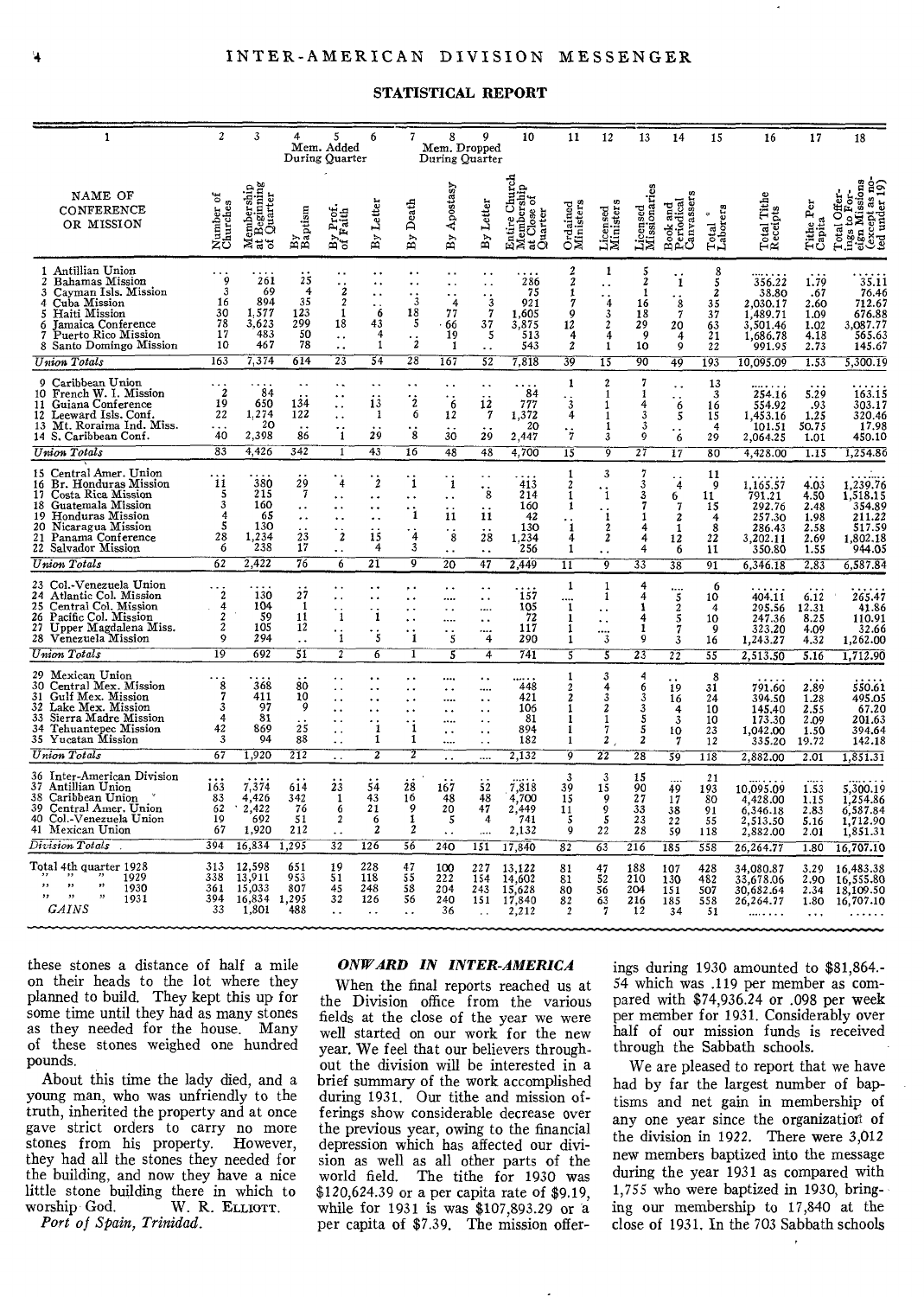### STATISTICAL REPORT

| $\mathbf{1}$                                                                                                                                                                                                       | $\overline{c}$                                               | 3                                                | 4                                                    | 5<br>Mem. Added<br>During Quarter                                                                       | 6                                                          | 7                                                                                     | 8<br>Mem. Dropped<br>During Quarter                                                           | q                                                                                                            | 10                                                             | 11                                                                   | 12                                                                                     | 13                                                                      | 14                                         | 15                                                              | 16                                                                        | 17                                                   | 18                                                                               |
|--------------------------------------------------------------------------------------------------------------------------------------------------------------------------------------------------------------------|--------------------------------------------------------------|--------------------------------------------------|------------------------------------------------------|---------------------------------------------------------------------------------------------------------|------------------------------------------------------------|---------------------------------------------------------------------------------------|-----------------------------------------------------------------------------------------------|--------------------------------------------------------------------------------------------------------------|----------------------------------------------------------------|----------------------------------------------------------------------|----------------------------------------------------------------------------------------|-------------------------------------------------------------------------|--------------------------------------------|-----------------------------------------------------------------|---------------------------------------------------------------------------|------------------------------------------------------|----------------------------------------------------------------------------------|
| NAME OF<br>CONFERENCE<br>OR MISSION                                                                                                                                                                                | ٣ö<br>Number or<br>Churches                                  | Iembership<br>: Beginning<br>: Quarter<br>≭ಕೆಕ   | By<br>Baptism                                        | y Prot.<br>Faith<br>$\frac{5}{16}$                                                                      | By Letter                                                  | By Death                                                                              | Apostasy<br>By                                                                                | Letter<br>$\overline{B}$                                                                                     | hurch<br>Entire Churcl<br>Membership<br>at Close of<br>Quarter | Ordained<br>Ministers                                                | Licensed<br>Ministers                                                                  | Licensed<br>Missionaries                                                | Book and<br>Periodical<br>Canvassers       | Total <sup>*</sup><br>Laborers                                  | Total Tithe<br>Receipts                                                   | Tithe Per<br>Capita                                  | Total Offer-<br>ings to For-<br>eign Missions<br>(except as no-<br>ted under 19) |
| 1 Antillian Union<br>Bahamas Mission<br>Cayman Isls. Mission<br>Cuba Mission<br>4<br>Haiti Mission<br>5<br>Jamaica Conference<br>6<br>Puerto Rico Mission<br>7<br>8 Santo Domingo Mission                          | 9<br>3<br>16<br>30<br>78<br>17<br>10                         | 261<br>69<br>894<br>1.577<br>3,623<br>483<br>467 | 25<br>$\overline{4}$<br>35<br>123<br>299<br>50<br>78 | $\cdot_i$<br>$\mathbf 2$<br>$\mathbf{1}$<br>18<br>$\ddotsc$<br>$\ddot{\phantom{1}}$                     | ٠.<br>$\cdot$ 6<br>43<br>4<br>$\mathbf{1}$                 | $\ddot{\phantom{0}}$<br>$\cdot$ ;<br>18<br>5<br>$\cdot_{\dot{z}}$                     | . .<br>$\ddotsc$<br>$\ddot{\phantom{0}}$<br>4<br>77<br>66<br>19<br>1                          | $\ddotsc$<br>$\cdot$ 3<br>$\overline{7}$<br>37<br>5                                                          | 286<br>75<br>921<br>1,605<br>3,875<br>513<br>543               | 2<br>$\boldsymbol{2}$<br>1<br>7<br>ġ<br>12<br>4<br>$\boldsymbol{2}$  | 1<br>4<br>3<br>$\overline{\mathbf{c}}$<br>4<br>1                                       | $\frac{5}{2}$<br>1<br>16<br>18<br>29<br>9<br>10                         | 1<br>$\frac{8}{7}$<br>20<br>4<br>ġ         | 8<br>5<br>$\boldsymbol{2}$<br>35<br>37<br>$\frac{63}{21}$<br>22 | 356.22<br>38.80<br>2.030.17<br>1,489.71<br>3,501.46<br>1,686.78<br>991.95 | 1.79<br>.67<br>2.60<br>1.09<br>1.02<br>4.18<br>2.73  | 35.11<br>76.46<br>712.67<br>676.88<br>3.087.77<br>565.63<br>145.67               |
| Union Totals                                                                                                                                                                                                       | 163                                                          | 7,374                                            | 614                                                  | $\overline{23}$                                                                                         | $\overline{54}$                                            | 28                                                                                    | 167                                                                                           | 52                                                                                                           | 7,818                                                          | 39                                                                   | $\overline{15}$                                                                        | 90                                                                      | 49                                         | 193                                                             | 10.095.09                                                                 | 1.53                                                 | 5,300.19                                                                         |
| Caribbean Union<br>0<br>10 French W. I. Mission<br>11 Guiana Conference<br>Leeward Isls. Conf.<br>12<br>13 Mt. Roraima Ind. Miss.<br>14 S. Caribbean Conf.                                                         | 2<br>19<br>22<br>.<br>40                                     | 84<br>650<br>1,274<br>20<br>2,398                | 134<br>122<br>86                                     | . .<br>$\ddot{\phantom{0}}$<br>$\ddot{\phantom{1}}$<br>$\cdot$ :<br>-1                                  | 13<br>1<br>29                                              | $\cdot$ <sub>2</sub><br>6<br>8                                                        | ٠.<br>6<br>12<br>30                                                                           | $\mathbf{i}\mathbf{i}$<br>7<br>29                                                                            | 84<br>777<br>1,372<br>20<br>2.447                              | 1<br>$\cdot$ 3<br>4<br>$\cdot_i$                                     | $\overline{c}$<br>$\mathbf{1}$<br>1<br>L<br>1<br>3                                     | 7<br>1<br>4<br>3<br>3<br>9                                              | . .<br>6<br>5<br>$\ddot{\phantom{0}}$<br>6 | 13<br>3<br>16<br>15<br>$\overline{4}$<br>29                     | 254.16<br>554.92<br>1,453.16<br>101.51<br>2,064.25                        | 5.29<br>.93<br>1.25<br>50.75<br>1.01                 | 163.15<br>303.17<br>320.46<br>17.98<br>450.10                                    |
| <b>Union Totals</b>                                                                                                                                                                                                | $\overline{83}$                                              | 4,426                                            | 342                                                  | ī                                                                                                       | $\overline{43}$                                            | 16                                                                                    | 48                                                                                            | 48                                                                                                           | 4,700                                                          | 15                                                                   | õ                                                                                      | 27                                                                      | 17                                         | 80                                                              | 4,428.00                                                                  | 1.15                                                 | 1,254.86                                                                         |
| 15 Central Amer. Union<br>Br. Honduras Mission<br>16<br>Costa Rica Mission<br>17<br>Guatemala Mission<br>18<br>Honduras Mission<br>19<br>Nicaragua Mission<br>20<br>Panama Conference<br>21<br>22 Salvador Mission | 11<br>5<br>3<br>4<br>5<br>28<br>6                            | 380<br>215<br>160<br>65<br>130<br>1,234<br>238   | 29<br>23<br>17                                       | $\overline{4}$<br>$\ddot{\phantom{1}}$<br>$\ddotsc$<br>. .<br>$\cdot_{\dot{z}}$<br>$\ddot{\phantom{a}}$ | $\cdot_i$<br>. .<br><br><br>$\overline{15}$<br>4           | ï<br>$\ddot{\phantom{0}}$<br>$\cdot_{1}$<br>$\ddot{4}$<br>3                           | $\mathbf{I}$<br>$\ddotsc$<br>11<br>8<br>$\ddot{\phantom{a}}$                                  | $\sim$ $\sim$<br>$\cdot$ ;<br>11<br>28<br>$\ddot{\phantom{a}}$                                               | 413<br>214<br>160<br>42<br>130<br>1.234<br>256                 | 1<br>$\overline{2}$<br>1<br>1<br>$\cdot_i$<br>4<br>1                 | 3<br>$\mathbf{i}$<br>$\cdot_i$<br>2<br>$\overline{\mathbf{z}}$<br>$\ddot{\phantom{a}}$ | $\overline{7}$<br>$\overline{\mathbf{3}}$<br>3<br>7<br>1<br>4<br>4<br>4 | 4<br>6<br>7<br>2<br>1<br>12<br>6           | 11<br>9<br>11<br>15<br>4<br>8<br>22<br>11                       | 1,165.57<br>791.21<br>292.76<br>257.30<br>286.43<br>3,202.11<br>350.80    | 4.03<br>4.50<br>2.48<br>1.98<br>2.58<br>2.69<br>1.55 | 1.239.76<br>1.518.15<br>354.89<br>211.22<br>517.59<br>1,802.18<br>944.05         |
| Union Totals                                                                                                                                                                                                       | $\overline{62}$                                              | 2,422                                            | 76                                                   | 6                                                                                                       | 21                                                         | T                                                                                     | $20^{-1}$                                                                                     | 47                                                                                                           | 2,449                                                          | $\overline{11}$                                                      | ক                                                                                      | $\overline{33}$                                                         | $\overline{38}$                            | 91                                                              | 6,346.18                                                                  | 2,83                                                 | 6,587.84                                                                         |
| Col.-Venezuela Union<br>23<br>Atlantic Col. Mission<br>24<br>25<br>Central Col. Mission<br>Pacific Col. Mission<br>26<br>27 Upper Magdalena Miss.<br>28 Venezuela Mission                                          | $\overline{2}$<br>4<br>$\overline{2}$<br>$\overline{2}$<br>9 | 130<br>104<br>59<br>105<br>294                   | 27<br>1<br>11<br>12<br>$\ddot{\phantom{a}}$          | $\ddot{\phantom{0}}$<br>$\ddot{\phantom{0}}$<br>$\cdot_{\rm i}$<br>$\mathbf{i}$                         | $\ddot{\phantom{0}}$<br>$\mathbf i$<br>$\ddot{\mathbf{5}}$ | $, \cdot$<br>$\ddot{\phantom{0}}$<br>. .<br>$\ddot{\phantom{0}}$<br>$\ddot{\text{i}}$ | μ.<br><br>$\ddotsc$<br><br>$\cdot_{\mathbf{5}}$                                               | $\ddotsc$<br><br>$\ddot{\phantom{0}}$<br>$\dddot{4}$                                                         | 157<br>105<br>72<br>117<br>290                                 | 1<br><br>1<br>ı<br>1<br>1                                            | 1<br>1<br>٠.<br>$\dddot{3}$                                                            | 4<br>4<br>1<br>4<br>1<br>9                                              | $\frac{2}{5}$<br>7<br>3                    | 6<br>10<br>4<br>10<br>9<br>16                                   | 404.11<br>295.56<br>247.36<br>323,20<br>1,243.27                          | 6.12<br>12.31<br>8.25<br>4.09<br>4.32                | 265.47<br>41.86<br>110.91<br>32.66<br>1,262.00                                   |
| Union Totals                                                                                                                                                                                                       | $\overline{19}$                                              | 692                                              | 51                                                   | 7                                                                                                       | $\overline{6}$                                             | ī                                                                                     | 3                                                                                             | 4                                                                                                            | 741                                                            | $\overline{\mathbf{s}}$                                              | 3                                                                                      | $\overline{23}$                                                         | $\overline{22}$                            | 33                                                              | 2,513.50                                                                  | 5.16                                                 | 1,712.90                                                                         |
| 29 Mexican Union<br>30 Central Mex. Mission<br>Gulf Mex. Mission<br>31<br>Lake Mex. Mission<br>32<br>Sierra Madre Mission<br>33<br>Tehuantepec Mission<br>34<br>35 Yucatan Mission                                 | 8<br>3<br>4<br>42<br>3                                       | 368<br>411<br>97<br>81<br>869<br>94              | 80<br>10<br>9<br>$\dot{2}\dot{5}$<br>88              | $\ddot{\phantom{0}}$<br>$\ddot{\phantom{0}}$<br>. .<br>$\sim$<br>$\ddot{\phantom{a}}$                   | 1<br>1                                                     | $\cdot_i$<br>1                                                                        | <br>$\ddot{\phantom{a}}$<br><br>$\ddot{\phantom{0}}$<br><br>$\ddot{\phantom{1}}$<br>$\ddotsc$ | $\ddot{\phantom{0}}$<br><br>$\ddot{\phantom{0}}$<br>$\ddot{\phantom{0}}$<br>٠.<br>٠.<br>$\ddot{\phantom{a}}$ | 448<br>421<br>106<br>81<br>894<br>182                          | 1<br>$\overline{\mathbf{c}}$<br>$\boldsymbol{z}$<br>1<br>1<br>1<br>1 | 3<br>4<br>3<br>2<br>1<br>7<br>2                                                        | 4<br>6<br>3<br>3<br>5<br>5<br>$\boldsymbol{2}$                          | 19<br>16<br>4<br>$\overline{3}$<br>10<br>7 | 8<br>31<br>24<br>10<br>10<br>23<br>12                           | 791.60<br>394.50<br>145,40<br>173.30<br>1,042.00<br>335.20                | 2.89<br>1.28<br>2.55<br>2.09<br>1.50<br>19.72        | 550.61<br>495.05<br>67.20<br>201.63<br>394,64<br>142.18                          |
| Union Totals                                                                                                                                                                                                       | 67                                                           | 1,920                                            | 212                                                  | $\ddot{\phantom{0}}$                                                                                    | 2                                                          | 7                                                                                     | $\sim$ $\sim$                                                                                 |                                                                                                              | 2,132                                                          | ō                                                                    | 22                                                                                     | $\overline{28}$                                                         | 39                                         | 118                                                             | 2,882.00                                                                  | 2.01                                                 | 1,851.31                                                                         |
| 36 Inter-American Division<br>37 Antillian Union<br>Caribbean Union<br>38<br>Central Amer. Union<br>39<br>40<br>Col.-Venezuela Union<br>41 Mexican Union                                                           | 163<br>83<br>62<br>19<br>67                                  | 7,374<br>4,426<br>2,422<br>692<br>1,920          | 614<br>342<br>76<br>51<br>212                        | 23<br>$\mathbf{1}$<br>6<br>$\boldsymbol{2}$<br>$\ddot{\phantom{0}}$                                     | 54<br>43<br>21<br>6<br>2                                   | 28<br>16<br>9<br>$\frac{1}{2}$                                                        | 167<br>48<br>20<br>5                                                                          | 52<br>48<br>47<br>4<br>$\cdots$                                                                              | 7,818<br>4,700<br>2,449<br>741<br>2,132                        | 3<br>39<br>15<br>11<br>5<br>9                                        | $\overline{\mathbf{3}}$<br>15<br>9<br>9<br>5<br>22                                     | 15<br>90<br>27<br>33<br>23<br>28                                        | 49<br>17<br>38<br>22<br>59                 | 21<br>193<br>80<br>91<br>55<br>118                              | 10.095.09<br>4,428.00<br>6,346.18<br>2,513.50<br>2,882.00                 | 1.53<br>1.15<br>2.83<br>5.16<br>2.01                 | 5.300.19<br>1,254.86<br>6,587.84<br>1,712.90<br>1,851.31                         |
| Division Totals                                                                                                                                                                                                    | 394                                                          | 16,834                                           | 1.295                                                | $\overline{32}$                                                                                         | 126                                                        | $\overline{56}$                                                                       | 240                                                                                           | 151                                                                                                          | 17,840                                                         | 82                                                                   | $\overline{63}$                                                                        | 216                                                                     | 185                                        | 558                                                             | 26,264.77                                                                 | 1.80                                                 | 16,707.10                                                                        |
| Total 4th quarter 1928<br>1929<br>,,<br>, ,<br>1930<br>,,<br>$\bullet$<br>,,<br>1931<br><b>GAINS</b>                                                                                                               | 313<br>338<br>361<br>394<br>33                               | 12.598<br>13,911<br>15,033<br>16,834<br>1,801    | 651<br>953<br>807<br>1,295<br>488                    | 19<br>51<br>45<br>32<br>$\ddot{\phantom{a}}$                                                            | 228<br>118<br>248<br>126<br>$\ddot{\phantom{a}}$           | 47<br>$\frac{55}{58}$<br>56<br>$\ddot{\phantom{a}}$                                   | 100<br>222<br>204<br>240<br>36                                                                | 227<br>154<br>243<br>151<br>$\sim$                                                                           | 13,122<br>14,602<br>15,628<br>17,840<br>2.212                  | 81<br>81<br>80<br>82                                                 | 47<br>52<br>56<br>$63 \over 7$                                                         | 188<br>210<br>204<br>216<br>12                                          | 107<br>130<br>151<br>185<br>34             | 428<br>482<br>507<br>558<br>51                                  | 34,080.87<br>33,678.06<br>30.682.64<br>26, 264. 77<br>                    | 3.29<br>2,90<br>2.34<br>1.80<br>$\ddotsc$            | 16,483.38<br>16,555.80<br>18,109.50<br>16,707.10                                 |

these stones a distance of half a mile on their heads to the lot where they planned to build. They kept this up for some time until they had as many stones as they needed for the house. Many of these stones weighed one hundred pounds.

About this time the lady died, and a young man, who was unfriendly to the truth, inherited the property and at once gave strict orders to carry no more stones from his property. However, they had all the stones they needed for the building, and now they have a nice little stone building there in which to worship God. W. R. ELLIOTT. W. R. ELLIOTT.

*Port of Spain, Trinidad.* 

#### *ONWARD IN INTER-AMERICA*

When the final reports reached us at the Division office from the various fields at the close of the year we were well started on our work for the new year. We feel that our believers throughout the division will be interested in a brief summary of the work accomplished during 1931. Our tithe and mission offerings show considerable decrease over the previous year, owing to the financial depression which has affected our division as well as all other parts of the world field. The tithe for 1930 was \$120,624.39 or a per capita rate of \$9.19, while for 1931 is was \$107,893.29 or a per capita of \$7.39. The mission offerings during 1930 amounted to \$81,864.- 54 which was .119 per member as compared with \$74,936.24 or .098 per week per member for 1931. Considerably over half of our mission funds is received through the Sabbath schools.

We are pleased to report that we have had by far the largest number of baptisms and net gain in membership of any one year since the organization of the division in 1922. There were 3,012 new members baptized into the message during the year 1931 as compared with 1,755 who were baptized in 1930, bringing our membership to 17,840 at the close of 1931. In the 703 Sabbath schools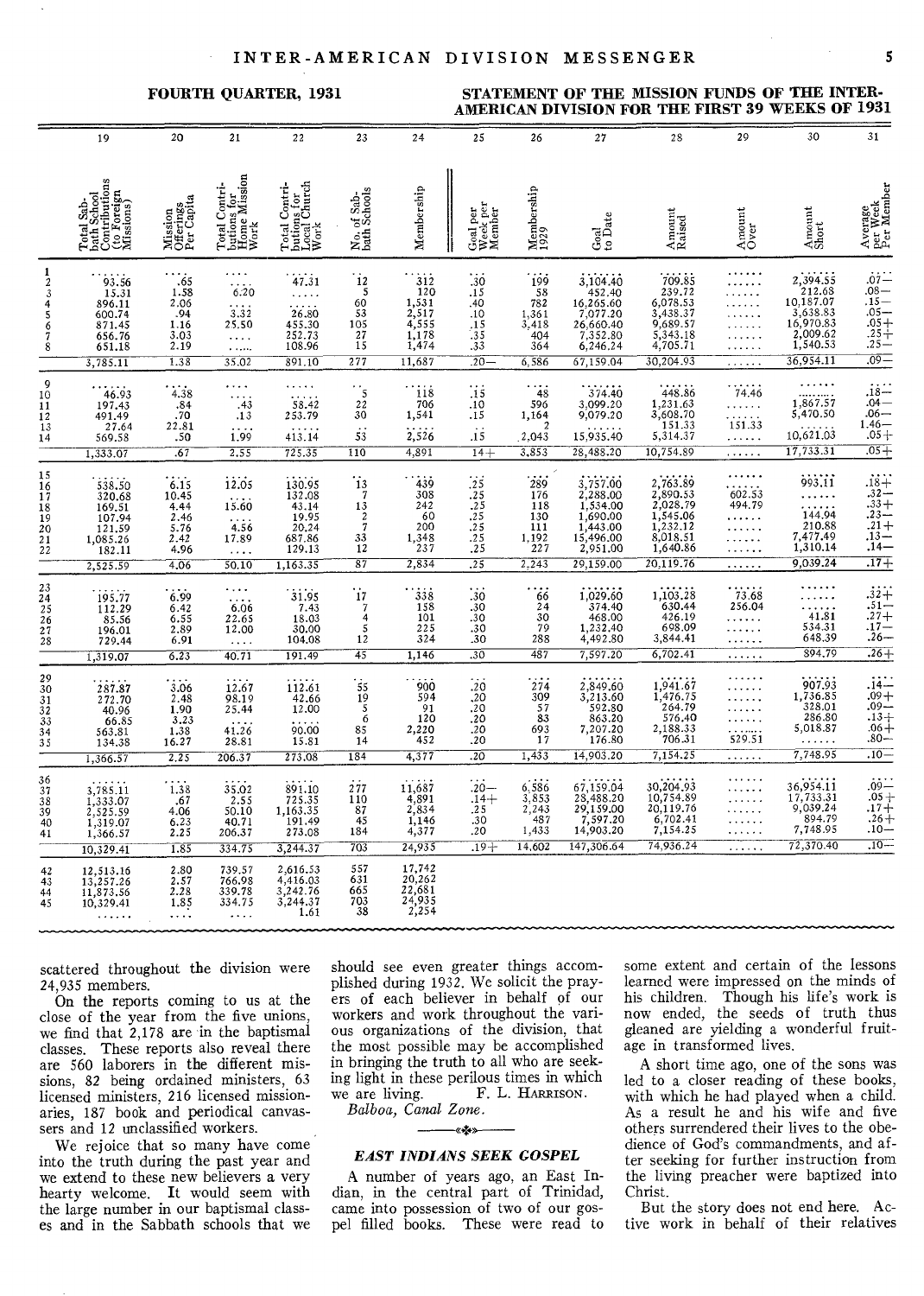#### **INTER-AMERICAN DIVISION MESSENGER 5**

## FOURTH QUARTER, 1931 STATEMENT OF THE MISSION FUNDS OF THE INTER-**AMERICAN DIVISION FOR THE FIRST 39 WEEKS OF 1931**

|                                                     | 19                                                                               | 20                                                                   | 21                                                                                     | 22                                                                                 | 23                                                                                       | 24                                                                    | 25                                                                          | 26                                                        | 27                                                                                             | 28                                                                                            | 29                                               | 30                                                                                              | 31                                                                                     |
|-----------------------------------------------------|----------------------------------------------------------------------------------|----------------------------------------------------------------------|----------------------------------------------------------------------------------------|------------------------------------------------------------------------------------|------------------------------------------------------------------------------------------|-----------------------------------------------------------------------|-----------------------------------------------------------------------------|-----------------------------------------------------------|------------------------------------------------------------------------------------------------|-----------------------------------------------------------------------------------------------|--------------------------------------------------|-------------------------------------------------------------------------------------------------|----------------------------------------------------------------------------------------|
|                                                     | Total Sab-<br>bath School<br>Contributions<br>(to Foreign<br>Missions)           | Mission<br>Offerings<br>Per Capita                                   | Total Contri-<br>butions for<br>Hone Mission<br>Work                                   | Total Contri-<br>butions for<br>Local Church<br>Work                               | No. of Sab-<br>bath Schools                                                              | Membership                                                            | Goal per<br>Week per<br>Member                                              | $\mathop{\rm Membership}\limits_{1929}$                   | Goal<br>to Date                                                                                | Amount<br>Raised                                                                              | Amount<br>Over                                   | Amount<br>Short                                                                                 | Average<br>per Week<br>Per Member                                                      |
| 1<br>$\boldsymbol{2}$<br>3<br>4<br>5<br>6<br>7<br>8 | 93.56<br>15.31<br>896.11<br>600.74<br>871.45<br>656.76<br>651.18<br>3,785.11     | .65<br>1.58<br>2.06<br>.94<br>1.16<br>3.03<br>2.19<br>1.38           | $\ldots$<br>$\cdots$<br>6.20<br>$3.\overline{32}$<br>25.50<br>$\ldots$ .<br>.<br>35.02 | 47.31<br>$\sim$ , $\sim$ .<br>26.80<br>455.30<br>252.73<br>108.96<br>891.10        | 12<br>-5<br>60<br>53<br>105<br>27<br>15<br>277                                           | 312<br>120<br>1,531<br>2,517<br>4,555<br>1,178<br>1,474<br>11,687     | .30<br>.15<br>.40<br>.10<br>$\frac{15}{35}$<br>.33<br>$.20 -$               | 199<br>58<br>782<br>1,361<br>3,418<br>404<br>364<br>6,586 | 3,104.40<br>452,40<br>16,265.60<br>7,077.20<br>26,660.40<br>7,352.80<br>6,246.24<br>67,159.04  | 709.85<br>239.72<br>6,078.53<br>3,438.37<br>9,689.57<br>5,343.18<br>4,705.71<br>30,204.93     | <br>.<br>.                                       | 2,394.55<br>$212.68$<br>10,187.07<br>3,638.83<br>16,970.83<br>2,009.62<br>1,540.53<br>36,954.11 | $.07 -$<br>$.25 -$<br>$.09 -$                                                          |
| 9<br>10<br>11<br>12<br>13<br>14                     | 46.93<br>197.43<br>491.49<br>27.64<br>569.58<br>1,333.07                         | 4.38<br>.84<br>.70<br>22.81<br>-50<br>.67                            | .<br>.43<br>.13<br>1.99<br>2.55                                                        | 58.42<br>253.79<br>413.14<br>725.35                                                | $\frac{5}{22}$<br>30<br>$\overline{53}$<br>110                                           | $\frac{118}{706}$<br>1,541<br>2,526<br>4,891                          | $\overline{.}1\overline{5}$<br>.10<br>.15<br>$\overrightarrow{15}$<br>$14+$ | 48<br>596<br>1,164<br>2,043<br>3,853                      | 374.40<br>3,099.20<br>9,079.20<br>15,935.40<br>28,488.20                                       | 448.86<br>1,231.63<br>3,608.70<br>151.33<br>5,314.37<br>10,754.89                             | 74,46<br>.<br>.<br>151.33<br>.<br>.              | .<br>$1,867.57$<br>5,470.50<br>10,621.03<br>17,733.31                                           | $18-04-06-1.46-05+$<br>$.05+$                                                          |
| 15<br>16<br>17<br>18<br>19<br>$\frac{20}{21}$       | 538.50<br>320.68<br>169.51<br>107.94<br>121.59<br>1,085.26<br>182.11<br>2,525.59 | 6.15<br>10.45<br>4.44<br>2.46<br>$\frac{5.76}{2.42}$<br>4.96<br>4.06 | 12.05<br>15.60<br>4.56<br>17.89<br>$\cdots$<br>50.10                                   | 130.95<br>$\frac{132.08}{43.14}$<br>19.95<br>20,24<br>687.86<br>129.13<br>1,163.35 | $\ddot{i}$<br>$\overline{7}$<br>13<br>$\overline{c}$<br>$\overline{7}$<br>33<br>12<br>87 | 439<br>308<br>242<br>60<br>200<br>1,348<br>237<br>2,834               | .25<br>$.25$<br>$.25$<br>$.25$<br>$.25$<br>$.25$<br>.25                     | 289<br>176<br>118<br>130<br>111<br>1,192<br>227<br>2.243  | 3,757.00<br>2,288.00<br>1,534.00<br>1,690.00<br>1,443.00<br>15,496.00<br>2,951.00<br>29,159.00 | 2,763.89<br>2,890.53<br>2,028.79<br>1,545.06<br>1,232.12<br>8,018.51<br>1,640.86<br>20.119.76 | .<br>$602.53$<br>494.79<br>.<br>.<br>.<br>.<br>. | 993.11<br>.<br>$144.94$<br>$210.88$<br>$7,477.49$<br>1,310.14<br>9,039.24                       | $\frac{13}{14}$<br>$.17+$                                                              |
| $23$<br>$24$<br>$25$<br>$26$<br>$27$<br>$28$        | 195.77<br>112.29<br>85.56<br>196.01<br>729.44<br>1,319.07                        | 6.99<br>6.42<br>6.55<br>2.89<br>6.91<br>6.23                         | $\cdots$<br>6.06<br>22.65<br>12.00<br>$\sim 100$<br>40.71                              | 31.95<br>7.43<br>18.03<br>30.00<br>104.08<br>191.49                                | 17<br>$\boldsymbol{7}$<br>4<br>5<br>12<br>45                                             | $338$<br>$158$<br>101<br>225<br>324<br>1,146                          | .30<br>.30.30<br>$.30_{.30}$<br>$\overline{30}$                             | 66<br>$\frac{24}{30}$<br>288<br>487                       | $1,029.60$<br>$374.40$<br>$468.00$<br>$1,232.40$<br>$4,492.80$<br>7,597.20                     | $1,103.28$<br>630.44<br>426.19<br>698.09<br>3,844.41<br>6,702.41                              | $\frac{73.68}{256.04}$<br>.<br>.<br>.<br>.       | $\sim$ $\sim$ $\sim$ $\sim$ $\sim$<br>$\frac{1}{41.81}$<br>534.31<br>648.39<br>894.79           | $\begin{array}{r} .32 + \\ .51 - \\ .27 + \\ .17 - \\ .26 - \\ \end{array}$<br>$.26 +$ |
| 29<br>$30$<br>$31$<br>$32$<br>$33$<br>$34$<br>35    | 287.87<br>272.70<br>40.96<br>66.85<br>563.81<br>134.38<br>1,366.57               | 3.06<br>2.48<br>1.90<br>3.23<br>$\frac{1.38}{16.27}$<br>2,25         | 12.67<br>98.19<br>25.44<br>41.26<br>28.81<br>206.37                                    | 112.61<br>$\substack{42.66 \\ 12.00}$<br>66.00<br>15.81<br>273.08                  | $\overline{55}$<br>19<br>5<br>6<br>85<br>14<br>184                                       | 900<br>594<br>91<br>120<br>2,220<br>452<br>4,377                      | .20<br>$\frac{20}{20}$<br>$\frac{20}{20}$<br>.20<br>.20<br>.20              | 274<br>309<br>57<br>83<br>693<br>17<br>1,433              | 2,849.60<br>3,213.60<br>592.80<br>863.20<br>7,207.20<br>176.80<br>14,903.20                    | 1,941.67<br>1,476.75<br>264.79<br>576.40<br>2,188.33<br>706.31<br>7,154.25                    | 529.51<br><b>.</b>                               | 907.93<br>1,736.85<br>328.01<br>286.80<br>5,018.87<br>.<br>7,748.95                             | $.14 - .09 + .09 - .13 + .06 + .08$<br>$.80-$<br>$\overline{.10}$                      |
| 36<br>37<br>38<br>39<br>40<br>41                    | 3,785.11<br>1,333.07<br>2,525.59<br>1,319.07<br>1,366.57<br>10,329.41            | $1.38$<br>$.67$<br>$4.06$<br>$6.23$<br>$2.25$<br>1.85                | $35.02$<br>$2.55$<br>$50.10$<br>40.71<br>206.37<br>334.75                              | 891.10<br>725.35<br>1,163.35<br>191.49<br>273.08<br>3,244.37                       | 277<br>110<br>87<br>45<br>184<br>703                                                     | 11,687<br>4,891<br>2,834<br>1,146<br>4,377<br>24,935                  | $.20 -$<br>$.14 +$<br>.25<br>.30<br>.20<br>$.19 +$                          | $6, 586$<br>$3, 853$<br>2,243<br>487<br>1,433<br>14,602   | 67,159.04<br>28,488.20<br>29,159.00<br>7,597.20<br>14,903.20<br>147,306.64                     | 30,204.93<br>10,754.89<br>20,119.76<br>6,702.41<br>7,154.25<br>74,936.24                      | .<br>.<br>.<br>.<br>.                            | 36,954.11<br>17,733.31<br>9,039.24<br>894.79<br>7,748.95<br>72,370.40                           | $.09 - .05 + .17 + .26 + .19$<br>$.10 -$<br>$-01$ .                                    |
| 42<br>43<br>44<br>45                                | 12,513.16<br>13,257.26<br>11,873.56<br>10,329.41<br>.                            | $^{2.80}_{2.57}$<br>2.28<br>1,85<br>.                                | 739.57<br>766,98<br>339.78<br>334.75<br>$\cdots$                                       | 2,616.53<br>4,416.03<br>3,242.76<br>3,244.37<br>1.61                               | 557<br>631<br>665<br>703<br>38                                                           | 17,742<br>20,262<br>$\frac{22,681}{24,935}$<br>$\frac{24,935}{2,254}$ |                                                                             |                                                           |                                                                                                |                                                                                               |                                                  |                                                                                                 |                                                                                        |

scattered throughout the division were 24,935 members.

On the reports coming to us at the close of the year from the five unions, we find that 2,178 are in the baptismal classes. These reports also reveal there are 560 laborers in the different missions, 82 being ordained ministers, 63 licensed ministers, 216 licensed missionaries, 187 book and periodical canvassers and 12 unclassified workers.

We rejoice that so many have come into the truth during the past year and we extend to these new believers a very hearty welcome. It would seem with the large number in our baptismal classes and in the Sabbath schools that we

should see even greater things accomplished during 1932. We solicit the prayers of each believer in behalf of our workers and work throughout the various organizations of the division, that the most possible may be accomplished in bringing the truth to all who are seeking light in these perilous times in which<br>we are living. F. L. HARRISON. F. L. HARRISON. *Balboa, Canal Zone.* 

*«40›* 

## *EAST INDIANS SEEK GOSPEL*

A number of years ago, an East Indian, in the central part of Trinidad, came into possession of two of our gospel filled books. These were read to some extent and certain of the lessons learned were impressed on the minds of his children. Though his life's work is now ended, the seeds of truth thus gleaned are yielding a wonderful fruitage in transformed lives.

A short time ago, one of the sons was led to a closer reading of these books, with which he had played when a child. As a result he and his wife and five others surrendered their lives to the obedience of God's commandments, and after seeking for further instruction from the living preacher were baptized into Christ.

But the story does not end here. Active work in behalf of their relatives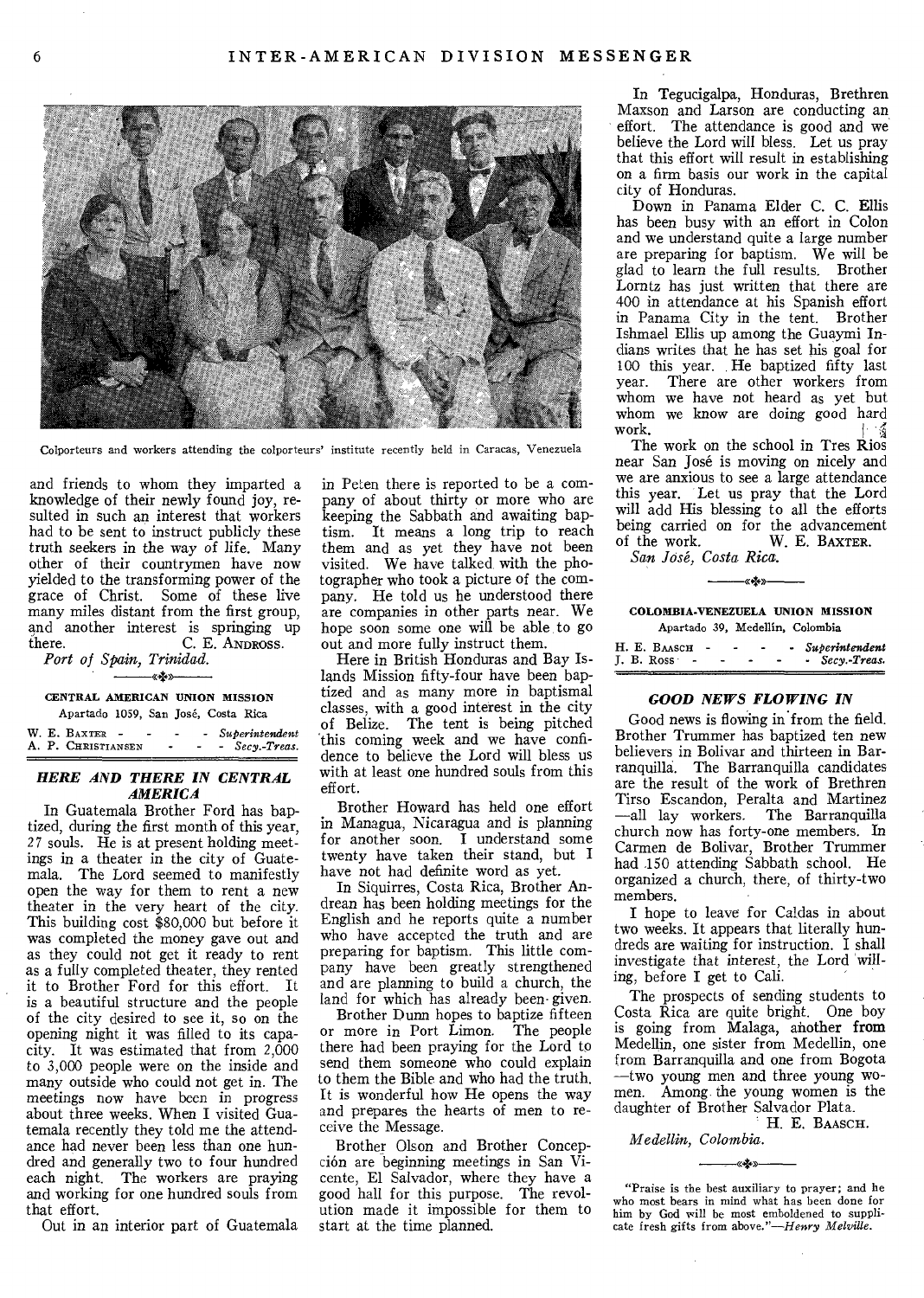

Colporteurs and workers attending the colporteurs' institute recently held in Caracas, Venezuela

and friends to whom they imparted a knowledge of their newly found joy, resulted in such an interest that workers had to be sent to instruct publicly these truth seekers in the way of life. Many other of their countrymen have now yielded to the transforming power of the grace of Christ. Some of these live many miles distant from the first group, and another interest is springing up there.  $C. E.$  ANDROSS. C. E. ANDROSS.

*Port of Spain, Trinidad. a+»* 

#### CENTRAL AMERICAN UNION MISSION

Apartado 1059, San José, Costa Rica W. E. BAXTER - - - - *Superintendent*<br>A. P. CHRISTIANSEN - - - *Secv.-Treas.* A. P. CHRISTIANSEN

#### *HERE AND THERE IN CENTRAL AMERICA*

In Guatemala Brother Ford has baptized, during the first month of this year, *27* souls. He is at present holding meetings in a theater in the city of Guatemala. The Lord seemed to manifestly open the way for them to rent a new theater in the very heart of the city. This building cost \$80,000 but before it was completed the money gave out and as they could not get it ready to rent as a fully completed theater, they rented it to Brother Ford for this effort. It is a beautiful structure and the people of the city desired to see it, so on the opening night it was filled to its capacity. It was estimated that from 2,000 to 3,000 people were on the inside and many outside who could not get in. The *meetings* now have been in progress about three weeks. When I visited Guatemala recently they told me the attendance had never been less than one hundred and generally two to four hundred each night. The workers are praying and working for one hundred souls from that effort.

Out in an interior part of Guatemala

in Peten there is reported to be a company of about thirty or more who are keeping the Sabbath and awaiting baptism. It means a long trip to reach them and as yet they have not been visited. We have talked, with the photographer who took a picture of the company. He told us he understood there are companies in other parts near. We hope soon some one will be able to go out and more fully instruct them.

Here in British Honduras and Bay Islands Mission fifty-four have been baptized and as many more in baptismal classes, with a good interest in the city of Belize. The tent is being pitched this coming week and we have confidence to believe the Lord will bless us with at least one hundred souls from this effort.

Brother Howard has held one effort in Managua, Nicaragua and is planning for another soon. I understand some twenty have taken their stand, but I have not had definite word as yet.

In Siquirres, Costa Rica, Brother Andrean has been holding meetings for the English and he reports quite a number who have accepted the truth and are preparing for baptism. This little company have been greatly strengthened and are planning to build a church, the land for which has already been- given.

Brother Dunn hopes to baptize fifteen or more in Port Limon. The people there had been praying for the Lord to send them someone who could explain to them the Bible and who had the truth. It is wonderful how He opens the way and prepares the hearts of men to receive the Message.

Brother Olson and Brother Concepci6n are beginning meetings in San Vicente, El Salvador, where they have a good hall for this purpose. The revolution made it impossible for them to start at the time planned.

In Tegucigalpa, Honduras, Brethren Maxson and Larson are conducting an effort. The attendance is good and we believe the Lord will bless. Let us pray that this effort will result in establishing on a firm basis our work in the capital city of Honduras.

Down in Panama Elder C. C. Ellis has been busy with an effort in Colon and we understand quite a large number are preparing for baptism. We will be glad to learn the full results. Brother Lorntz has just written that there are 400 in attendance at his Spanish effort in Panama City in the tent. Brother Ishmael Ellis up among the Guaymi Indians writes that he has set his goal for 100 this year. He baptized fifty last year. There are other workers from whom we have not heard as yet but whom we know are doing good hard work.

The work on the school in Tres Rios near San Jose is moving on nicely and we are anxious to see a large attendance this year. Let us pray that the Lord will add His blessing to all the efforts being carried on for the advancement<br>of the work. W. E. BAXTER. W. E. BAXTER.

*San Jose, Costa RiCa,* 

COLOMBIA-VENEZUELA UNION MISSION Apartado 39, Medellin, Colombia

–«<del>∢</del>∗

| H. E. BAASCH |  | - Superintendent |
|--------------|--|------------------|
| L. B. Ross   |  | - Secy. Treas.   |

#### *GOOD NEWS FLOWING IN*

Good news is flowing in from the field. Brother Trummer has baptized ten new believers in Bolivar and thirteen in Barranquilla. The Barranquilla candidates are the result of the work of Brethren Tirso Escandon, Peralta and Martinez —all lay workers. The Barranquilla church now has forty-one members. In Carmen de Bolivar, Brother Trummer had 150 attending Sabbath school. He organized a church, there, of thirty-two members.

I hope to leave for Caldas in about two weeks. It appears that literally hundreds are waiting for instruction. I shall investigate that interest, the Lord willing, before I get to Cali.

The prospects of sending students to Costa Rica are quite bright. One boy is going from Malaga, another from Medellin, one sister from Medellin, one from Barranquilla and one from Bogota —two young men and three young women. Among the young women is the daughter of Brother Salvador Plata.

H. E. BAASCH.

*Medellin, Colombia.* 

"Praise is the best auxiliary to prayer; and he who most bears in mind what has been done for him by God will be most emboldened to supplicate fresh gifts from above."—Henry *Melville.* 

*«+»*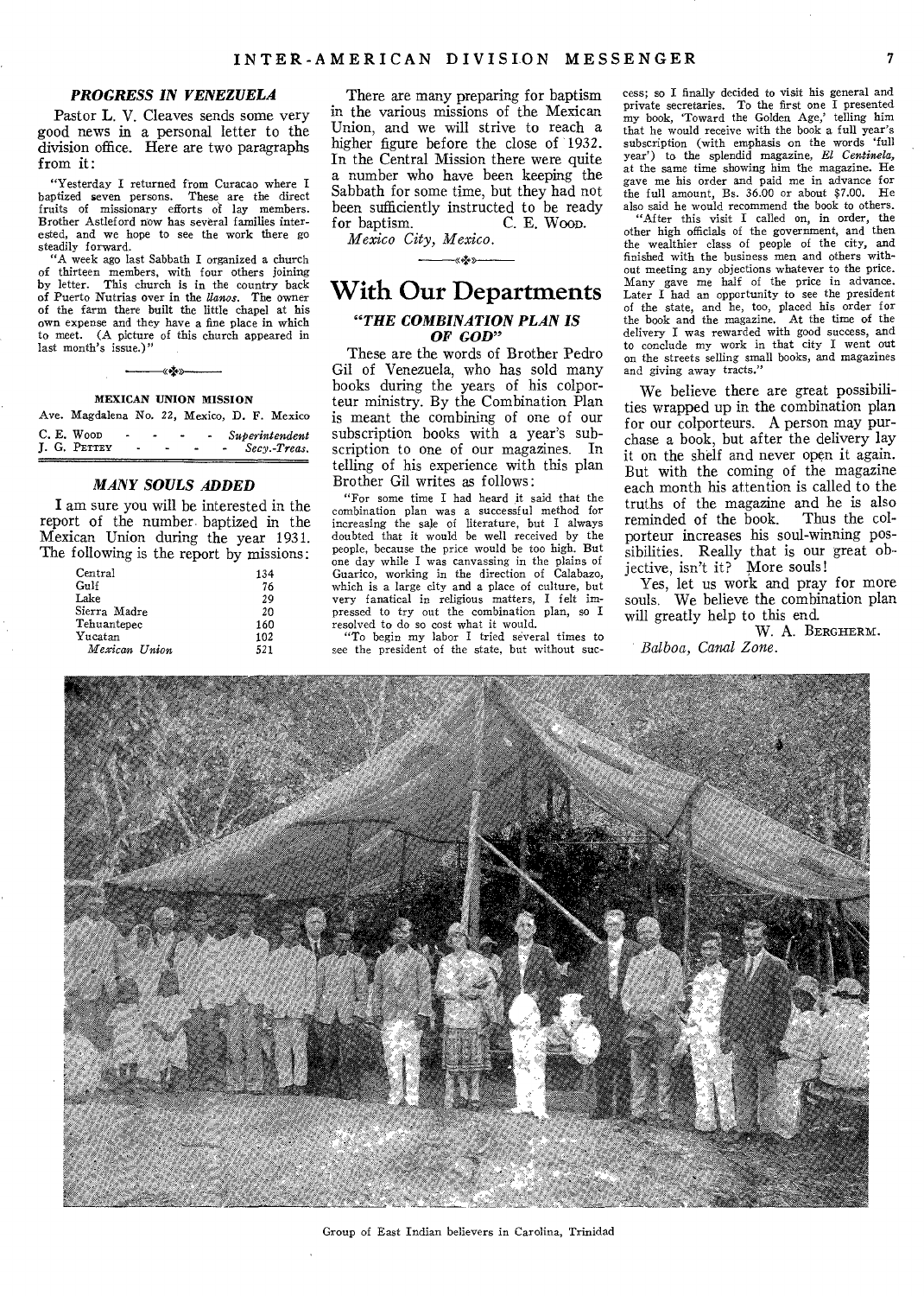#### *PROGRESS IN VENEZUELA*

**Pastor L. V. Cleaves sends some very good news in a personal letter to the division office. Here are two paragraphs from it:** 

**"Yesterday I returned from Curacao where I baptized seven persons. These are the direct fruits of missionary efforts of lay members. Brother Astleford now has several families interested, and we hope to see the work there go steadily forward.** 

**"A week ago last Sabbath I organized a church of thirteen members, with four others joining**  This church is in the country back **of Puerto Nutrias over in the** *Banos.* **The owner of the farm there built the little chapel at his own expense and they have a fine place in which to meet. (A picture of this church appeared in**  last month's issue.)'

# –«<del>∗</del>»– **MEXICAN UNION MISSION**

| Ave. Magdalena No. 22, Mexico, D. F. Mexico |                               |  |  |                                |
|---------------------------------------------|-------------------------------|--|--|--------------------------------|
| C. E. Woop<br>J. G. PETTEY                  | $\overline{\phantom{0}}$<br>٠ |  |  | Superintendent<br>Secy.-Treas. |

#### *MANY SOULS ADDED*

**I am sure you will be interested in the report of the number• baptized in the Mexican Union during the year 1931. The following is the report by missions:** 

| Central       | 134 |
|---------------|-----|
| Gulf          | 76  |
| Lake          | 29  |
| Sierra Madre  | 20  |
| Tehuantepec   | 160 |
| Yucatan       | 102 |
| Mexican Union | 521 |

**There are many preparing for baptism in the various missions of the Mexican Union, and we will strive to reach a higher figure before the close of 1932. In the Central Mission there were quite a number who have been keeping the Sabbath for some time, but they had not**  been sufficiently instructed to be ready for baptism. C. E. Woop. **for baptism. C. E. Woon.** 

*Mexico City, Mexico.*  —«∗≵•»

# **With Our Departments**  *"THE COMBINATION PLAN IS OF GOD"*

**These are the words of Brother Pedro Gil of Venezuela, who has sold many books during the years of his colporteur ministry.** *By* **the Combination Plan is meant the combining of one of our subscription books with a year's subscription to one of our magazines. In telling of his experience with this plan Brother Gil writes as follows:** 

**"For some time I had heard it said that the combination plan was a successful method for increasing the sale of literature, but I always doubted that it would be well received by the people, because the price would be too high. But one day while I was canvassing in the plains of Guarico, working in the direction of Calabazo, which is a large city and a place of culture, but very fanatical in religious matters, I felt impressed to try out the combination plan, so I** 

**resolved to do so cost what it would. "To begin my labor I tried several times to see the president of the state, but without suc-** **cess; so I finally decided to visit his general and private secretaries. To the first one I presented my book, 'Toward the Golden Age,' telling him that he would receive with the book a full year's subscription (with emphasis on the words 'full year') to the splendid magazine,** *El Cenlinela, at the same* **time showing him the magazine. He**  gave me his order and paid me in advance for<br>the full amount. Be 36.00 or about \$7.00 He the full amount, Bs. 36.00 or about \$7.00.

**also said be would recommend the book to others. "After this visit I called on, in order, the other high officials of the government, and then the wealthier class of people of the city, and finished with the business men and others without meeting any objections whatever to the price. Many gave me half of the price in advance. Later I had an opportunity to see the president of the state, and he, too, placed his order for the book and the magazine. At the time of the delivery I was rewarded with good success, and to conclude my work in that city I went out on the streets selling small books, and magazines and giving away tracts."** 

**We believe there are great possibilities wrapped up in the combination plan for our colporteurs. A person may purchase a book, but after the delivery lay it on the shelf and never open it again. But with the coming of the magazine each month his attention is called to the truths of the magazine and he is also reminded of the book. Thus the colporteur increases his soul-winning possibilities. Really that is our great objective, isn't it? More souls!** 

**Yes, let us work and pray for more souls. We believe the combination plan will greatly help to this end.** 

**W. A. BERGHERM.**  *Balboa, Canal Zone.* 



**Group of East Indian believers** in Carolina, Trinidad